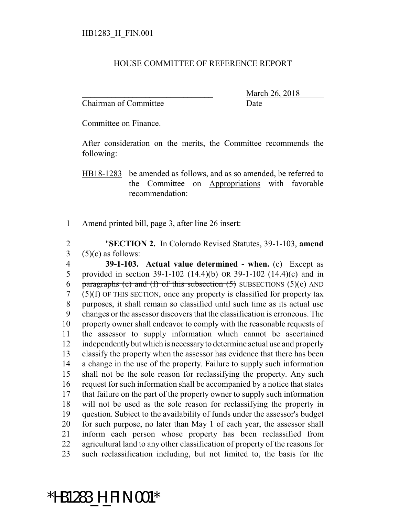## HOUSE COMMITTEE OF REFERENCE REPORT

Chairman of Committee Date

March 26, 2018

Committee on Finance.

After consideration on the merits, the Committee recommends the following:

HB18-1283 be amended as follows, and as so amended, be referred to the Committee on Appropriations with favorable recommendation:

Amend printed bill, page 3, after line 26 insert:

 "**SECTION 2.** In Colorado Revised Statutes, 39-1-103, **amend**  $3\qquad(5)(c)$  as follows:

 **39-1-103. Actual value determined - when.** (c) Except as provided in section 39-1-102 (14.4)(b) OR 39-1-102 (14.4)(c) and in 6 paragraphs (e) and (f) of this subsection  $(5)$  SUBSECTIONS  $(5)(e)$  AND (5)(f) OF THIS SECTION, once any property is classified for property tax purposes, it shall remain so classified until such time as its actual use changes or the assessor discovers that the classification is erroneous. The property owner shall endeavor to comply with the reasonable requests of the assessor to supply information which cannot be ascertained independently but which is necessary to determine actual use and properly classify the property when the assessor has evidence that there has been a change in the use of the property. Failure to supply such information shall not be the sole reason for reclassifying the property. Any such request for such information shall be accompanied by a notice that states that failure on the part of the property owner to supply such information will not be used as the sole reason for reclassifying the property in question. Subject to the availability of funds under the assessor's budget for such purpose, no later than May 1 of each year, the assessor shall inform each person whose property has been reclassified from agricultural land to any other classification of property of the reasons for such reclassification including, but not limited to, the basis for the

## \*HB1283\_H\_FIN.001\*